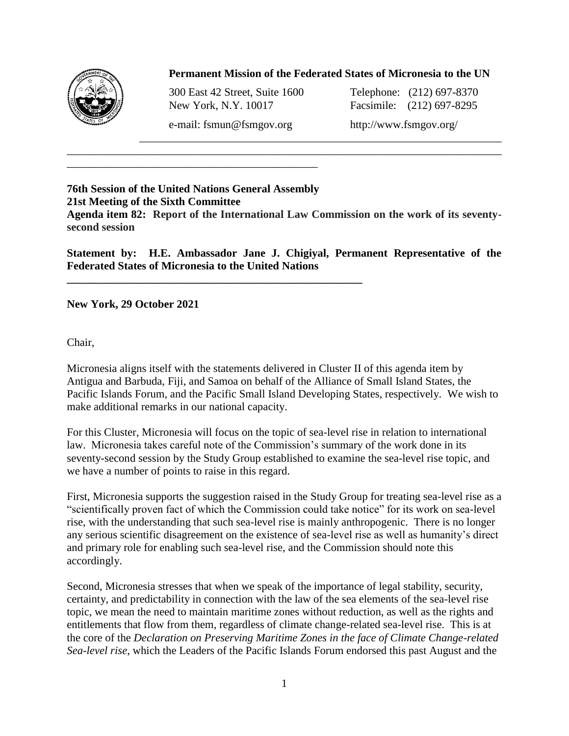

## **Permanent Mission of the Federated States of Micronesia to the UN**

\_\_\_\_\_\_\_\_\_\_\_\_\_\_\_\_\_\_\_\_\_\_\_\_\_\_\_\_\_\_\_\_\_\_\_\_\_\_\_\_\_\_\_\_\_\_\_\_\_\_\_\_\_\_\_\_\_\_\_\_\_\_\_\_\_

300 East 42 Street, Suite 1600 Telephone: (212) 697-8370 New York, N.Y. 10017 Facsimile: (212) 697-8295

e-mail: fsmun@fsmgov.org http://www.fsmgov.org/

## **76th Session of the United Nations General Assembly 21st Meeting of the Sixth Committee**

**\_\_\_\_\_\_\_\_\_\_\_\_\_\_\_\_\_\_\_\_\_\_\_\_\_\_\_\_\_\_\_\_\_\_\_\_\_\_\_\_\_\_\_\_\_\_\_\_\_\_\_\_\_**

\_\_\_\_\_\_\_\_\_\_\_\_\_\_\_\_\_\_\_\_\_\_\_\_\_\_\_\_\_\_\_\_\_\_\_\_\_\_\_\_\_\_\_\_\_

**Agenda item 82: Report of the International Law Commission on the work of its seventysecond session**

\_\_\_\_\_\_\_\_\_\_\_\_\_\_\_\_\_\_\_\_\_\_\_\_\_\_\_\_\_\_\_\_\_\_\_\_\_\_\_\_\_\_\_\_\_\_\_\_\_\_\_\_\_\_\_\_\_\_\_\_\_\_\_\_\_\_\_\_\_\_\_\_\_\_\_\_\_\_

**Statement by: H.E. Ambassador Jane J. Chigiyal, Permanent Representative of the Federated States of Micronesia to the United Nations**

**New York, 29 October 2021**

Chair,

Micronesia aligns itself with the statements delivered in Cluster II of this agenda item by Antigua and Barbuda, Fiji, and Samoa on behalf of the Alliance of Small Island States, the Pacific Islands Forum, and the Pacific Small Island Developing States, respectively. We wish to make additional remarks in our national capacity.

For this Cluster, Micronesia will focus on the topic of sea-level rise in relation to international law. Micronesia takes careful note of the Commission's summary of the work done in its seventy-second session by the Study Group established to examine the sea-level rise topic, and we have a number of points to raise in this regard.

First, Micronesia supports the suggestion raised in the Study Group for treating sea-level rise as a "scientifically proven fact of which the Commission could take notice" for its work on sea-level rise, with the understanding that such sea-level rise is mainly anthropogenic. There is no longer any serious scientific disagreement on the existence of sea-level rise as well as humanity's direct and primary role for enabling such sea-level rise, and the Commission should note this accordingly.

Second, Micronesia stresses that when we speak of the importance of legal stability, security, certainty, and predictability in connection with the law of the sea elements of the sea-level rise topic, we mean the need to maintain maritime zones without reduction, as well as the rights and entitlements that flow from them, regardless of climate change-related sea-level rise. This is at the core of the *Declaration on Preserving Maritime Zones in the face of Climate Change-related Sea-level rise*, which the Leaders of the Pacific Islands Forum endorsed this past August and the